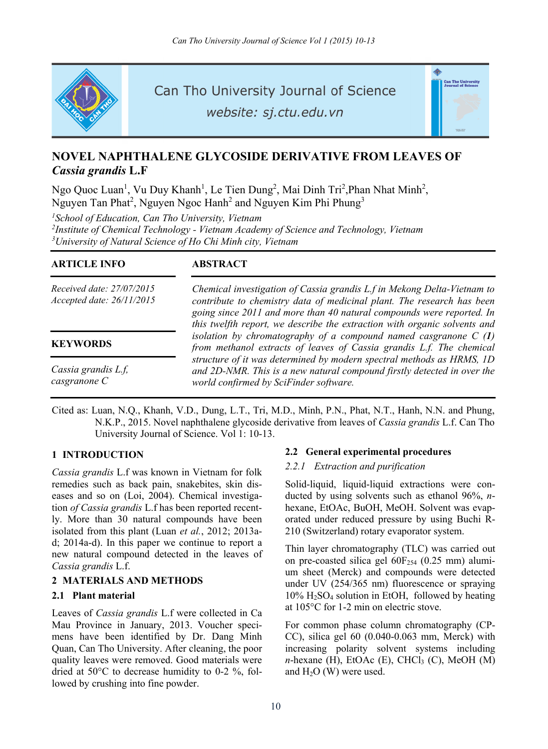

Can Tho University Journal of Science

website: sj.ctu.edu.vn

# **NOVEL NAPHTHALENE GLYCOSIDE DERIVATIVE FROM LEAVES OF**  *Cassia grandis* **L.F**

Ngo Quoc Luan<sup>1</sup>, Vu Duy Khanh<sup>1</sup>, Le Tien Dung<sup>2</sup>, Mai Dinh Tri<sup>2</sup>, Phan Nhat Minh<sup>2</sup>, Nguyen Tan Phat<sup>2</sup>, Nguyen Ngoc Hanh<sup>2</sup> and Nguyen Kim Phi Phung<sup>3</sup>

*1 School of Education, Can Tho University, Vietnam* 

*2 Institute of Chemical Technology - Vietnam Academy of Science and Technology, Vietnam 3 University of Natural Science of Ho Chi Minh city, Vietnam* 

| <b>ARTICLE INFO</b>                                    | <b>ABSTRACT</b>                                                                                                                                                                                                                                                                                                                                                                                                                                                                                                                                                                                                                                    |
|--------------------------------------------------------|----------------------------------------------------------------------------------------------------------------------------------------------------------------------------------------------------------------------------------------------------------------------------------------------------------------------------------------------------------------------------------------------------------------------------------------------------------------------------------------------------------------------------------------------------------------------------------------------------------------------------------------------------|
| Received date: 27/07/2015<br>Accepted date: 26/11/2015 | Chemical investigation of Cassia grandis L.f in Mekong Delta-Vietnam to<br>contribute to chemistry data of medicinal plant. The research has been<br>going since 2011 and more than 40 natural compounds were reported. In<br>this twelfth report, we describe the extraction with organic solvents and<br>isolation by chromatography of a compound named casgranone $C(1)$<br>from methanol extracts of leaves of Cassia grandis L.f. The chemical<br>structure of it was determined by modern spectral methods as HRMS, 1D<br>and 2D-NMR. This is a new natural compound firstly detected in over the<br>world confirmed by SciFinder software. |
| <b>KEYWORDS</b>                                        |                                                                                                                                                                                                                                                                                                                                                                                                                                                                                                                                                                                                                                                    |
| Cassia grandis L.f.<br>casgranone C                    |                                                                                                                                                                                                                                                                                                                                                                                                                                                                                                                                                                                                                                                    |

Cited as: Luan, N.Q., Khanh, V.D., Dung, L.T., Tri, M.D., Minh, P.N., Phat, N.T., Hanh, N.N. and Phung, N.K.P., 2015. Novel naphthalene glycoside derivative from leaves of *Cassia grandis* L.f. Can Tho University Journal of Science. Vol 1: 10-13.

# **1 INTRODUCTION**

*Cassia grandis* L.f was known in Vietnam for folk remedies such as back pain, snakebites, skin diseases and so on (Loi, 2004). Chemical investigation *of Cassia grandis* L.f has been reported recently. More than 30 natural compounds have been isolated from this plant (Luan *et al.*, 2012; 2013ad; 2014a-d). In this paper we continue to report a new natural compound detected in the leaves of *Cassia grandis* L.f.

#### **2 MATERIALS AND METHODS**

#### **2.1 Plant material**

Leaves of *Cassia grandis* L.f were collected in Ca Mau Province in January, 2013. Voucher specimens have been identified by Dr. Dang Minh Quan, Can Tho University. After cleaning, the poor quality leaves were removed. Good materials were dried at 50°C to decrease humidity to 0-2 %, followed by crushing into fine powder.

#### **2.2 General experimental procedures**

#### *2.2.1 Extraction and purification*

Solid-liquid, liquid-liquid extractions were conducted by using solvents such as ethanol 96%, *n*hexane, EtOAc, BuOH, MeOH. Solvent was evaporated under reduced pressure by using Buchi R-210 (Switzerland) rotary evaporator system.

Thin layer chromatography (TLC) was carried out on pre-coasted silica gel  $60F_{254}$  (0.25 mm) alumium sheet (Merck) and compounds were detected under UV (254/365 nm) fluorescence or spraying 10% H2SO4 solution in EtOH, followed by heating at 105°C for 1-2 min on electric stove.

For common phase column chromatography (CP-CC), silica gel 60 (0.040-0.063 mm, Merck) with increasing polarity solvent systems including  $n$ -hexane (H), EtOAc (E), CHCl<sub>3</sub> (C), MeOH (M) and  $H_2O$  (W) were used.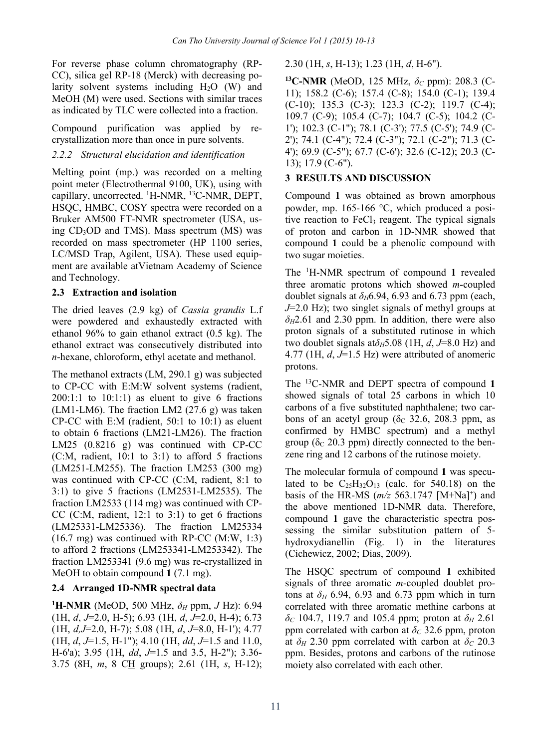For reverse phase column chromatography (RP-CC), silica gel RP-18 (Merck) with decreasing polarity solvent systems including  $H_2O$  (W) and MeOH (M) were used. Sections with similar traces as indicated by TLC were collected into a fraction.

Compound purification was applied by recrystallization more than once in pure solvents.

### *2.2.2 Structural elucidation and identification*

Melting point (mp.) was recorded on a melting point meter (Electrothermal 9100, UK), using with capillary, uncorrected. <sup>1</sup>H-NMR, <sup>13</sup>C-NMR, DEPT, HSQC, HMBC, COSY spectra were recorded on a Bruker AM500 FT-NMR spectrometer (USA, using CD<sub>3</sub>OD and TMS). Mass spectrum (MS) was recorded on mass spectrometer (HP 1100 series, LC/MSD Trap, Agilent, USA). These used equipment are available atVietnam Academy of Science and Technology.

## **2.3 Extraction and isolation**

The dried leaves (2.9 kg) of *Cassia grandis* L.f were powdered and exhaustedly extracted with ethanol 96% to gain ethanol extract (0.5 kg). The ethanol extract was consecutively distributed into *n*-hexane, chloroform, ethyl acetate and methanol.

The methanol extracts (LM, 290.1 g) was subjected to CP-CC with E:M:W solvent systems (radient, 200:1:1 to 10:1:1) as eluent to give 6 fractions (LM1-LM6). The fraction LM2 (27.6 g) was taken CP-CC with E:M (radient, 50:1 to 10:1) as eluent to obtain 6 fractions (LM21-LM26). The fraction LM25 (0.8216 g) was continued with CP-CC (C:M, radient, 10:1 to 3:1) to afford 5 fractions (LM251-LM255). The fraction LM253 (300 mg) was continued with CP-CC (C:M, radient, 8:1 to 3:1) to give 5 fractions (LM2531-LM2535). The fraction LM2533 (114 mg) was continued with CP-CC (C:M, radient, 12:1 to 3:1) to get 6 fractions (LM25331-LM25336). The fraction LM25334 (16.7 mg) was continued with RP-CC (M:W, 1:3) to afford 2 fractions (LM253341-LM253342). The fraction LM253341 (9.6 mg) was re-crystallized in MeOH to obtain compound **1** (7.1 mg).

# **2.4 Arranged 1D-NMR spectral data**

**1 H-NMR** (MeOD, 500 MHz, *δH* ppm, *J* Hz): 6.94 (1H, *d*, *J*=2.0, H-5); 6.93 (1H, *d*, *J*=2.0, H-4); 6.73 (1H, *d,J*=2.0, H-7); 5.08 (1H, *d*, *J*=8.0, H-1'); 4.77 (1H, *d*, *J*=1.5, H-1"); 4.10 (1H, *dd*, *J*=1.5 and 11.0, H-6'a); 3.95 (1H, *dd*, *J*=1.5 and 3.5, H-2"); 3.36- 3.75 (8H, *m*, 8 CH groups); 2.61 (1H, *s*, H-12);

2.30 (1H, *s*, H-13); 1.23 (1H, *d*, H-6").

**13C-NMR** (MeOD, 125 MHz, *δC* ppm): 208.3 (C-11); 158.2 (C-6); 157.4 (C-8); 154.0 (C-1); 139.4 (C-10); 135.3 (C-3); 123.3 (C-2); 119.7 (C-4); 109.7 (C-9); 105.4 (C-7); 104.7 (C-5); 104.2 (C-1'); 102.3 (C-1"); 78.1 (C-3'); 77.5 (C-5'); 74.9 (C-2'); 74.1 (C-4"); 72.4 (C-3"); 72.1 (C-2"); 71.3 (C-4'); 69.9 (C-5"); 67.7 (C-6'); 32.6 (C-12); 20.3 (C-13); 17.9 (C-6").

## **3 RESULTS AND DISCUSSION**

Compound **1** was obtained as brown amorphous powder, mp. 165-166 °C, which produced a positive reaction to FeCl<sub>3</sub> reagent. The typical signals of proton and carbon in 1D-NMR showed that compound **1** could be a phenolic compound with two sugar moieties.

The 1 H-NMR spectrum of compound **1** revealed three aromatic protons which showed *m*-coupled doublet signals at  $\delta$ <sup>H</sup> $6.94$ , 6.93 and 6.73 ppm (each, *J*=2.0 Hz); two singlet signals of methyl groups at  $\delta$ <sup>H</sup>2.61 and 2.30 ppm. In addition, there were also proton signals of a substituted rutinose in which two doublet signals at $\delta$ *H*5.08 (1H, *d*, *J*=8.0 Hz) and 4.77 (1H, *d*, *J*=1.5 Hz) were attributed of anomeric protons.

The 13C-NMR and DEPT spectra of compound **1** showed signals of total 25 carbons in which 10 carbons of a five substituted naphthalene; two carbons of an acetyl group ( $\delta$  32.6, 208.3 ppm, as confirmed by HMBC spectrum) and a methyl group ( $\delta_c$  20.3 ppm) directly connected to the benzene ring and 12 carbons of the rutinose moiety.

The molecular formula of compound **1** was speculated to be  $C_{25}H_{32}O_{13}$  (calc. for 540.18) on the basis of the HR-MS  $(m/z 563.1747 \text{ [M+Na]}^+)$  and the above mentioned 1D-NMR data. Therefore, compound **1** gave the characteristic spectra possessing the similar substitution pattern of 5 hydroxydianellin (Fig. 1) in the literatures (Cichewicz, 2002; Dias, 2009).

The HSQC spectrum of compound **1** exhibited signals of three aromatic *m*-coupled doublet protons at  $\delta$ <sup>H</sup> 6.94, 6.93 and 6.73 ppm which in turn correlated with three aromatic methine carbons at *δC* 104.7, 119.7 and 105.4 ppm; proton at *δH* 2.61 ppm correlated with carbon at  $\delta_c$  32.6 ppm, proton at  $\delta_H$  2.30 ppm correlated with carbon at  $\delta_C$  20.3 ppm. Besides, protons and carbons of the rutinose moiety also correlated with each other.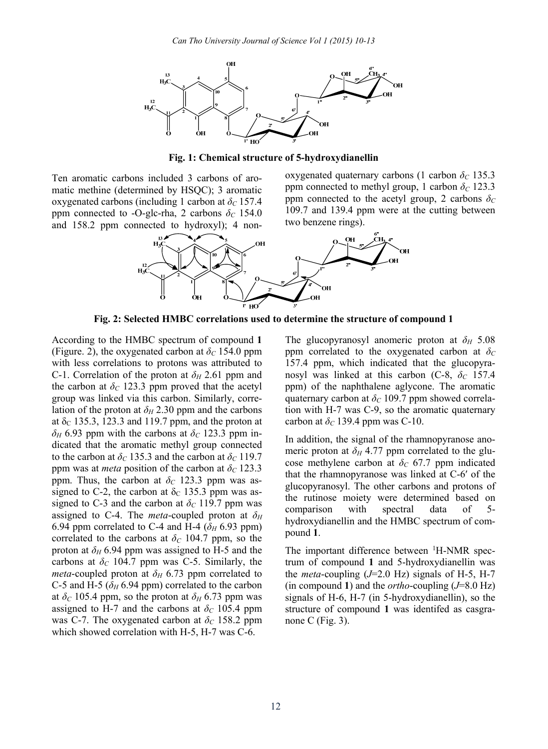

**Fig. 1: Chemical structure of 5-hydroxydianellin** 

Ten aromatic carbons included 3 carbons of aromatic methine (determined by HSQC); 3 aromatic oxygenated carbons (including 1 carbon at  $\delta_c$  157.4 ppm connected to -O-glc-rha, 2 carbons  $\delta_c$  154.0 and 158.2 ppm connected to hydroxyl); 4 nonoxygenated quaternary carbons (1 carbon  $\delta_c$  135.3 ppm connected to methyl group, 1 carbon  $\delta_c$  123.3 ppm connected to the acetyl group, 2 carbons  $\delta_C$ 109.7 and 139.4 ppm were at the cutting between two benzene rings).



**Fig. 2: Selected HMBC correlations used to determine the structure of compound 1** 

According to the HMBC spectrum of compound **1** (Figure. 2), the oxygenated carbon at  $\delta_c$  154.0 ppm with less correlations to protons was attributed to C-1. Correlation of the proton at *δH* 2.61 ppm and the carbon at  $\delta_c$  123.3 ppm proved that the acetyl group was linked via this carbon. Similarly, correlation of the proton at  $\delta_H$  2.30 ppm and the carbons at  $\delta_c$  135.3, 123.3 and 119.7 ppm, and the proton at *δH* 6.93 ppm with the carbons at *δC* 123.3 ppm indicated that the aromatic methyl group connected to the carbon at  $\delta_C$  135.3 and the carbon at  $\delta_C$  119.7 ppm was at *meta* position of the carbon at  $\delta_c$  123.3 ppm. Thus, the carbon at  $\delta_c$  123.3 ppm was assigned to C-2, the carbon at  $\delta_c$  135.3 ppm was assigned to C-3 and the carbon at  $\delta_c$  119.7 ppm was assigned to C-4. The *meta*-coupled proton at *δ<sup>H</sup>* 6.94 ppm correlated to C-4 and H-4 ( $\delta_H$  6.93 ppm) correlated to the carbons at  $\delta_c$  104.7 ppm, so the proton at  $\delta$ <sup>H</sup> 6.94 ppm was assigned to H-5 and the carbons at  $\delta_c$  104.7 ppm was C-5. Similarly, the *meta*-coupled proton at  $\delta_H$  6.73 ppm correlated to C-5 and H-5 ( $\delta$ *H* 6.94 ppm) correlated to the carbon at  $\delta_c$  105.4 ppm, so the proton at  $\delta_H$  6.73 ppm was assigned to H-7 and the carbons at  $\delta_c$  105.4 ppm was C-7. The oxygenated carbon at  $\delta_c$  158.2 ppm which showed correlation with H-5, H-7 was C-6.

The glucopyranosyl anomeric proton at  $\delta_H$  5.08 ppm correlated to the oxygenated carbon at  $\delta_c$ 157.4 ppm, which indicated that the glucopyranosyl was linked at this carbon (C-8,  $\delta_c$  157.4 ppm) of the naphthalene aglycone. The aromatic quaternary carbon at  $\delta_c$  109.7 ppm showed correlation with H-7 was C-9, so the aromatic quaternary carbon at  $\delta_c$  139.4 ppm was C-10.

In addition, the signal of the rhamnopyranose anomeric proton at  $\delta_H$  4.77 ppm correlated to the glucose methylene carbon at  $\delta_c$  67.7 ppm indicated that the rhamnopyranose was linked at C-6′ of the glucopyranosyl. The other carbons and protons of the rutinose moiety were determined based on comparison with spectral data of 5 hydroxydianellin and the HMBC spectrum of compound **1**.

The important difference between <sup>1</sup>H-NMR spectrum of compound **1** and 5-hydroxydianellin was the *meta*-coupling (*J*=2.0 Hz) signals of H-5, H-7 (in compound **1**) and the *ortho*-coupling (*J*=8.0 Hz) signals of H-6, H-7 (in 5-hydroxydianellin), so the structure of compound **1** was identifed as casgranone C (Fig.  $3$ ).